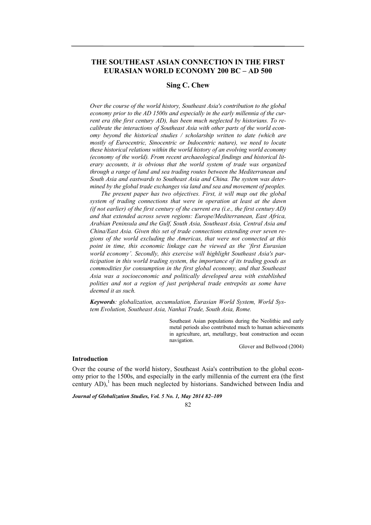# **THE SOUTHEAST ASIAN CONNECTION IN THE FIRST EURASIAN WORLD ECONOMY 200 BC – AD 500**

# **Sing C. Chew**

*Over the course of the world history, Southeast Asia's contribution to the global economy prior to the AD 1500s and especially in the early millennia of the current era (the first century AD), has been much neglected by historians. To recalibrate the interactions of Southeast Asia with other parts of the world economy beyond the historical studies / scholarship written to date (which are mostly of Eurocentric, Sinocentric or Indocentric nature), we need to locate these historical relations within the world history of an evolving world economy (economy of the world). From recent archaeological findings and historical literary accounts, it is obvious that the world system of trade was organized through a range of land and sea trading routes between the Mediterranean and South Asia and eastwards to Southeast Asia and China. The system was determined by the global trade exchanges via land and sea and movement of peoples.* 

*The present paper has two objectives. First, it will map out the global system of trading connections that were in operation at least at the dawn (if not earlier) of the first century of the current era (i.e., the first century AD) and that extended across seven regions: Europe/Mediterranean, East Africa, Arabian Peninsula and the Gulf, South Asia, Southeast Asia, Central Asia and China/East Asia. Given this set of trade connections extending over seven regions of the world excluding the Americas, that were not connected at this point in time, this economic linkage can be viewed as the 'first Eurasian world economy'. Secondly, this exercise will highlight Southeast Asia's participation in this world trading system, the importance of its trading goods as commodities for consumption in the first global economy, and that Southeast Asia was a socioeconomic and politically developed area with established polities and not a region of just peripheral trade entrepôts as some have deemed it as such.* 

*Keywords: globalization, accumulation, Eurasian World System, World System Evolution, Southeast Asia, Nanhai Trade, South Asia, Rome.* 

> Southeast Asian populations during the Neolithic and early metal periods also contributed much to human achievements in agriculture, art, metallurgy, boat construction and ocean navigation.

> > Glover and Bellwood (2004)

# **Introduction**

Over the course of the world history, Southeast Asia's contribution to the global economy prior to the 1500s, and especially in the early millennia of the current era (the first century  $AD$ ),<sup>1</sup> has been much neglected by historians. Sandwiched between India and

*Journal of Globalization Studies, Vol. 5 No. 1, May 2014 82–109* 

### 82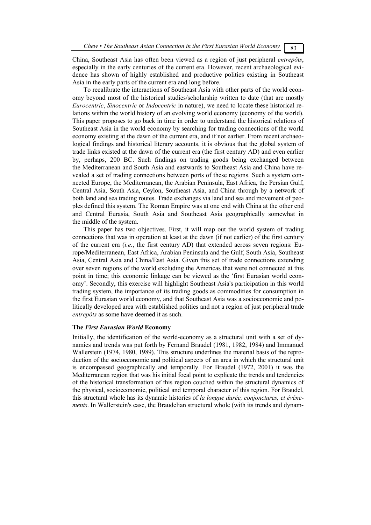China, Southeast Asia has often been viewed as a region of just peripheral *entrepôts*, especially in the early centuries of the current era. However, recent archaeological evidence has shown of highly established and productive polities existing in Southeast Asia in the early parts of the current era and long before.

To recalibrate the interactions of Southeast Asia with other parts of the world economy beyond most of the historical studies/scholarship written to date (that are mostly *Eurocentric*, *Sinocentric* or *Indocentric* in nature), we need to locate these historical relations within the world history of an evolving world economy (economy of the world). This paper proposes to go back in time in order to understand the historical relations of Southeast Asia in the world economy by searching for trading connections of the world economy existing at the dawn of the current era, and if not earlier. From recent archaeological findings and historical literary accounts, it is obvious that the global system of trade links existed at the dawn of the current era (the first century AD) and even earlier by, perhaps, 200 BC. Such findings on trading goods being exchanged between the Mediterranean and South Asia and eastwards to Southeast Asia and China have revealed a set of trading connections between ports of these regions. Such a system connected Europe, the Mediterranean, the Arabian Peninsula, East Africa, the Persian Gulf, Central Asia, South Asia, Ceylon, Southeast Asia, and China through by a network of both land and sea trading routes. Trade exchanges via land and sea and movement of peoples defined this system. The Roman Empire was at one end with China at the other end and Central Eurasia, South Asia and Southeast Asia geographically somewhat in the middle of the system.

This paper has two objectives. First, it will map out the world system of trading connections that was in operation at least at the dawn (if not earlier) of the first century of the current era (*i.e.*, the first century AD) that extended across seven regions: Europe/Mediterranean, East Africa, Arabian Peninsula and the Gulf, South Asia, Southeast Asia, Central Asia and China/East Asia. Given this set of trade connections extending over seven regions of the world excluding the Americas that were not connected at this point in time; this economic linkage can be viewed as the 'first Eurasian world economy'. Secondly, this exercise will highlight Southeast Asia's participation in this world trading system, the importance of its trading goods as commodities for consumption in the first Eurasian world economy, and that Southeast Asia was a socioeconomic and politically developed area with established polities and not a region of just peripheral trade *entrepôts* as some have deemed it as such.

# **The** *First Eurasian World* **Economy**

Initially, the identification of the world-economy as a structural unit with a set of dynamics and trends was put forth by Fernand Braudel (1981, 1982, 1984) and Immanuel Wallerstein (1974, 1980, 1989). This structure underlines the material basis of the reproduction of the socioeconomic and political aspects of an area in which the structural unit is encompassed geographically and temporally. For Braudel (1972, 2001) it was the Mediterranean region that was his initial focal point to explicate the trends and tendencies of the historical transformation of this region couched within the structural dynamics of the physical, socioeconomic, political and temporal character of this region. For Braudel, this structural whole has its dynamic histories of *la longue durée, conjonctures, et événements*. In Wallerstein's case, the Braudelian structural whole (with its trends and dynam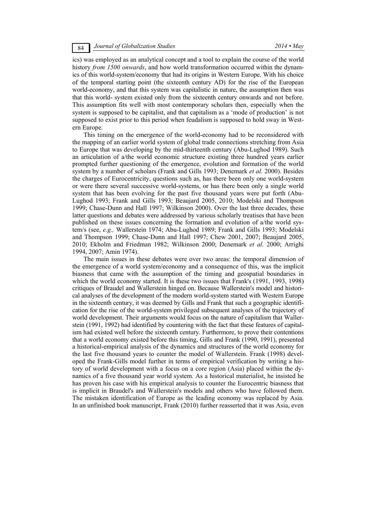ics) was employed as an analytical concept and a tool to explain the course of the world history *from 1500 onwards*, and how world transformation occurred within the dynamics of this world-system/economy that had its origins in Western Europe. With his choice of the temporal starting point (the sixteenth century AD) for the rise of the European world-economy, and that this system was capitalistic in nature, the assumption then was that this world- system existed only from the sixteenth century onwards and not before. This assumption fits well with most contemporary scholars then, especially when the system is supposed to be capitalist, and that capitalism as a 'mode of production' is not supposed to exist prior to this period when feudalism is supposed to hold sway in Western Europe.

This timing on the emergence of the world-economy had to be reconsidered with the mapping of an earlier world system of global trade connections stretching from Asia to Europe that was developing by the mid-thirteenth century (Abu-Lughod 1989). Such an articulation of a/the world economic structure existing three hundred years earlier prompted further questioning of the emergence, evolution and formation of the world system by a number of scholars (Frank and Gills 1993; Denemark *et al.* 2000). Besides the charges of Eurocentricity, questions such as, has there been only one world-system or were there several successive world-systems, or has there been only a single world system that has been evolving for the past five thousand years were put forth (Abu-Lughod 1993; Frank and Gills 1993; Beaujard 2005, 2010; Modelski and Thompson 1999; Chase-Dunn and Hall 1997; Wilkinson 2000). Over the last three decades, these latter questions and debates were addressed by various scholarly treatises that have been published on these issues concerning the formation and evolution of a/the world system/s (see, *e.g.,* Wallerstein 1974; Abu-Lughod 1989; Frank and Gills 1993; Modelski and Thompson 1999; Chase-Dunn and Hall 1997; Chew 2001, 2007; Beaujard 2005, 2010; Ekholm and Friedman 1982; Wilkinson 2000; Denemark *et al*. 2000; Arrighi 1994, 2007; Amin 1974).

The main issues in these debates were over two areas: the temporal dimension of the emergence of a world system/economy and a consequence of this, was the implicit biasness that came with the assumption of the timing and geospatial boundaries in which the world economy started. It is these two issues that Frank's (1991, 1993, 1998) critiques of Braudel and Wallerstein hinged on. Because Wallerstein's model and historical analyses of the development of the modern world-system started with Western Europe in the sixteenth century, it was deemed by Gills and Frank that such a geographic identification for the rise of the world-system privileged subsequent analyses of the trajectory of world development. Their arguments would focus on the nature of capitalism that Wallerstein (1991, 1992) had identified by countering with the fact that these features of capitalism had existed well before the sixteenth century. Furthermore, to prove their contentions that a world economy existed before this timing, Gills and Frank (1990, 1991), presented a historical-empirical analysis of the dynamics and structures of the world economy for the last five thousand years to counter the model of Wallerstein. Frank (1998) developed the Frank-Gills model further in terms of empirical verification by writing a history of world development with a focus on a core region (Asia) placed within the dynamics of a five thousand year world system. As a historical materialist, he insisted he has proven his case with his empirical analysis to counter the Eurocentric biasness that is implicit in Braudel's and Wallerstein's models and others who have followed them. The mistaken identification of Europe as the leading economy was replaced by Asia. In an unfinished book manuscript, Frank (2010) further reasserted that it was Asia, even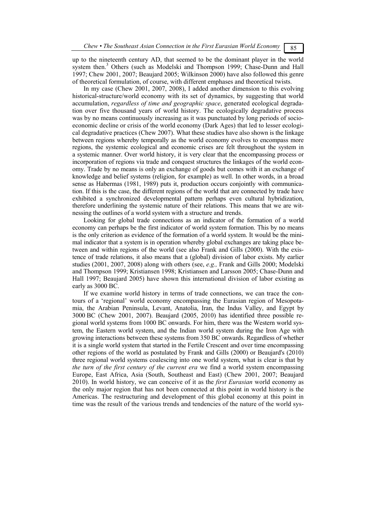up to the nineteenth century AD, that seemed to be the dominant player in the world system then.<sup>3</sup> Others (such as Modelski and Thompson 1999; Chase-Dunn and Hall 1997; Chew 2001, 2007; Beaujard 2005; Wilkinson 2000) have also followed this genre of theoretical formulation, of course, with different emphases and theoretical twists.

In my case (Chew 2001, 2007, 2008), I added another dimension to this evolving historical-structure/world economy with its set of dynamics, by suggesting that world accumulation, *regardless of time and geographic space*, generated ecological degradation over five thousand years of world history. The ecologically degradative process was by no means continuously increasing as it was punctuated by long periods of socioeconomic decline or crisis of the world economy (Dark Ages) that led to lesser ecological degradative practices (Chew 2007). What these studies have also shown is the linkage between regions whereby temporally as the world economy evolves to encompass more regions, the systemic ecological and economic crises are felt throughout the system in a systemic manner. Over world history, it is very clear that the encompassing process or incorporation of regions via trade and conquest structures the linkages of the world economy. Trade by no means is only an exchange of goods but comes with it an exchange of knowledge and belief systems (religion, for example) as well. In other words, in a broad sense as Habermas (1981, 1989) puts it, production occurs conjointly with communication. If this is the case, the different regions of the world that are connected by trade have exhibited a synchronized developmental pattern perhaps even cultural hybridization, therefore underlining the systemic nature of their relations. This means that we are witnessing the outlines of a world system with a structure and trends.

Looking for global trade connections as an indicator of the formation of a world economy can perhaps be the first indicator of world system formation. This by no means is the only criterion as evidence of the formation of a world system. It would be the minimal indicator that a system is in operation whereby global exchanges are taking place between and within regions of the world (see also Frank and Gills (2000). With the existence of trade relations, it also means that a (global) division of labor exists. My earlier studies (2001, 2007, 2008) along with others (see, *e.g.,* Frank and Gills 2000; Modelski and Thompson 1999; Kristiansen 1998; Kristiansen and Larsson 2005; Chase-Dunn and Hall 1997; Beaujard 2005) have shown this international division of labor existing as early as 3000 BC.

If we examine world history in terms of trade connections, we can trace the contours of a 'regional' world economy encompassing the Eurasian region of Mesopotamia, the Arabian Peninsula, Levant, Anatolia, Iran, the Indus Valley, and Egypt by 3000 BC (Chew 2001, 2007). Beaujard (2005, 2010) has identified three possible regional world systems from 1000 BC onwards. For him, there was the Western world system, the Eastern world system, and the Indian world system during the Iron Age with growing interactions between these systems from 350 BC onwards. Regardless of whether it is a single world system that started in the Fertile Crescent and over time encompassing other regions of the world as postulated by Frank and Gills (2000) or Beaujard's (2010) three regional world systems coalescing into one world system, what is clear is that by *the turn of the first century of the current era* we find a world system encompassing Europe, East Africa, Asia (South, Southeast and East) (Chew 2001, 2007; Beaujard 2010). In world history, we can conceive of it as the *first Eurasian* world economy as the only major region that has not been connected at this point in world history is the Americas. The restructuring and development of this global economy at this point in time was the result of the various trends and tendencies of the nature of the world sys-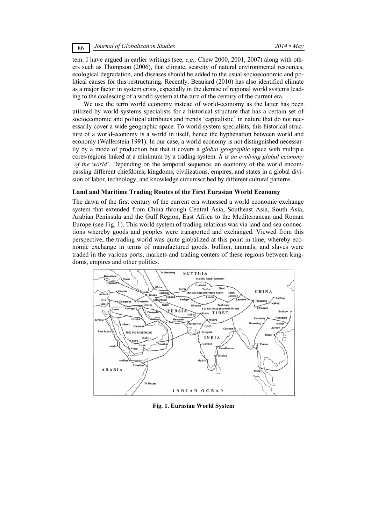tem. I have argued in earlier writings (see, *e.g.,* Chew 2000, 2001, 2007) along with others such as Thompson (2006), that climate, scarcity of natural environmental resources, ecological degradation, and diseases should be added to the usual socioeconomic and political causes for this restructuring. Recently, Beaujard (2010) has also identified climate as a major factor in system crisis, especially in the demise of regional world systems leading to the coalescing of a world system at the turn of the century of the current era.

We use the term world economy instead of world-economy as the latter has been utilized by world-systems specialists for a historical structure that has a certain set of socioeconomic and political attributes and trends 'capitalistic' in nature that do not necessarily cover a wide geographic space. To world-system specialists, this historical structure of a world-economy is a world in itself, hence the hyphenation between world and economy (Wallerstein 1991). In our case, a world economy is not distinguished necessarily by a mode of production but that it covers a *global geographic* space with multiple cores/regions linked at a minimum by a trading system. *It is an evolving global economy 'of the world'*. Depending on the temporal sequence, an economy of the world encompassing different chiefdoms, kingdoms, civilizations, empires, and states in a global division of labor, technology, and knowledge circumscribed by different cultural patterns.

## **Land and Maritime Trading Routes of the First Eurasian World Economy**

The dawn of the first century of the current era witnessed a world economic exchange system that extended from China through Central Asia, Southeast Asia, South Asia, Arabian Peninsula and the Gulf Region, East Africa to the Mediterranean and Roman Europe (see Fig. 1). This world system of trading relations was via land and sea connections whereby goods and peoples were transported and exchanged. Viewed from this perspective, the trading world was quite globalized at this point in time, whereby economic exchange in terms of manufactured goods, bullion, animals, and slaves were traded in the various ports, markets and trading centers of these regions between kingdoms, empires and other polities.



**Fig. 1. Eurasian World System**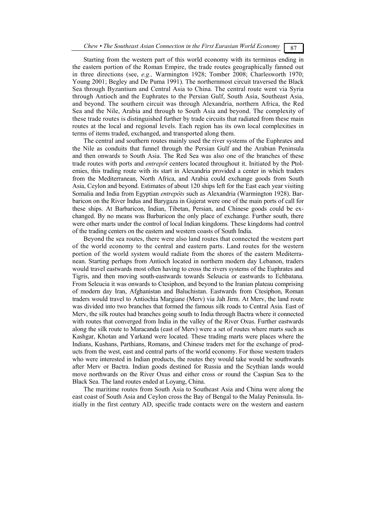Starting from the western part of this world economy with its terminus ending in the eastern portion of the Roman Empire, the trade routes geographically fanned out in three directions (see, *e.g.,* Warmington 1928; Tomber 2008; Charlesworth 1970; Young 2001; Begley and De Puma 1991). The northernmost circuit traversed the Black Sea through Byzantium and Central Asia to China. The central route went via Syria through Antioch and the Euphrates to the Persian Gulf, South Asia, Southeast Asia, and beyond. The southern circuit was through Alexandria, northern Africa, the Red Sea and the Nile, Arabia and through to South Asia and beyond. The complexity of these trade routes is distinguished further by trade circuits that radiated from these main routes at the local and regional levels. Each region has its own local complexities in terms of items traded, exchanged, and transported along them.

The central and southern routes mainly used the river systems of the Euphrates and the Nile as conduits that funnel through the Persian Gulf and the Arabian Peninsula and then onwards to South Asia. The Red Sea was also one of the branches of these trade routes with ports and *entrepôt* centers located throughout it. Initiated by the Ptolemies, this trading route with its start in Alexandria provided a center in which traders from the Mediterranean, North Africa, and Arabia could exchange goods from South Asia, Ceylon and beyond. Estimates of about 120 ships left for the East each year visiting Somalia and India from Egyptian *entrepôts* such as Alexandria (Warmington 1928). Barbaricon on the River Indus and Barygaza in Gujerat were one of the main ports of call for these ships. At Barbaricon, Indian, Tibetan, Persian, and Chinese goods could be exchanged. By no means was Barbaricon the only place of exchange. Further south, there were other marts under the control of local Indian kingdoms. These kingdoms had control of the trading centers on the eastern and western coasts of South India.

Beyond the sea routes, there were also land routes that connected the western part of the world economy to the central and eastern parts. Land routes for the western portion of the world system would radiate from the shores of the eastern Mediterranean. Starting perhaps from Antioch located in northern modern day Lebanon, traders would travel eastwards most often having to cross the rivers systems of the Euphrates and Tigris, and then moving south-eastwards towards Seleucia or eastwards to Echbatana. From Seleucia it was onwards to Ctesiphon, and beyond to the Iranian plateau comprising of modern day Iran, Afghanistan and Baluchistan. Eastwards from Ctesiphon, Roman traders would travel to Antiochia Margiane (Merv) via Jah Jirm. At Merv, the land route was divided into two branches that formed the famous silk roads to Central Asia. East of Merv, the silk routes had branches going south to India through Bactra where it connected with routes that converged from India in the valley of the River Oxus. Further eastwards along the silk route to Maracanda (east of Merv) were a set of routes where marts such as Kashgar, Khotan and Yarkand were located. These trading marts were places where the Indians, Kushans, Parthians, Romans, and Chinese traders met for the exchange of products from the west, east and central parts of the world economy. For those western traders who were interested in Indian products, the routes they would take would be southwards after Merv or Bactra. Indian goods destined for Russia and the Scythian lands would move northwards on the River Oxus and either cross or round the Caspian Sea to the Black Sea. The land routes ended at Loyang, China.

The maritime routes from South Asia to Southeast Asia and China were along the east coast of South Asia and Ceylon cross the Bay of Bengal to the Malay Peninsula. Initially in the first century AD, specific trade contacts were on the western and eastern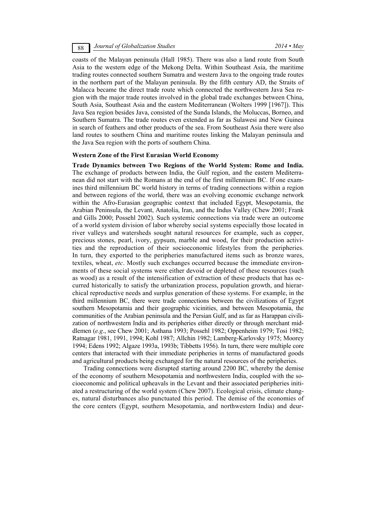coasts of the Malayan peninsula (Hall 1985). There was also a land route from South Asia to the western edge of the Mekong Delta. Within Southeast Asia, the maritime trading routes connected southern Sumatra and western Java to the ongoing trade routes in the northern part of the Malayan peninsula. By the fifth century AD, the Straits of Malacca became the direct trade route which connected the northwestern Java Sea region with the major trade routes involved in the global trade exchanges between China, South Asia, Southeast Asia and the eastern Mediterranean (Wolters 1999 [1967]). This Java Sea region besides Java, consisted of the Sunda Islands, the Moluccas, Borneo, and Southern Sumatra. The trade routes even extended as far as Sulawesi and New Guinea in search of feathers and other products of the sea. From Southeast Asia there were also land routes to southern China and maritime routes linking the Malayan peninsula and the Java Sea region with the ports of southern China.

## **Western Zone of the First Eurasian World Economy**

**Trade Dynamics between Two Regions of the World System: Rome and India.**  The exchange of products between India, the Gulf region, and the eastern Mediterranean did not start with the Romans at the end of the first millennium BC. If one examines third millennium BC world history in terms of trading connections within a region and between regions of the world, there was an evolving economic exchange network within the Afro-Eurasian geographic context that included Egypt, Mesopotamia, the Arabian Peninsula, the Levant, Anatolia, Iran, and the Indus Valley (Chew 2001; Frank and Gills 2000; Possehl 2002). Such systemic connections via trade were an outcome of a world system division of labor whereby social systems especially those located in river valleys and watersheds sought natural resources for example, such as copper, precious stones, pearl, ivory, gypsum, marble and wood, for their production activities and the reproduction of their socioeconomic lifestyles from the peripheries. In turn, they exported to the peripheries manufactured items such as bronze wares, textiles, wheat, *etc*. Mostly such exchanges occurred because the immediate environments of these social systems were either devoid or depleted of these resources (such as wood) as a result of the intensification of extraction of these products that has occurred historically to satisfy the urbanization process, population growth, and hierarchical reproductive needs and surplus generation of these systems. For example, in the third millennium BC, there were trade connections between the civilizations of Egypt southern Mesopotamia and their geographic vicinities, and between Mesopotamia, the communities of the Arabian peninsula and the Persian Gulf, and as far as Harappan civilization of northwestern India and its peripheries either directly or through merchant middlemen (*e.g*., see Chew 2001; Asthana 1993; Possehl 1982; Oppenheim 1979; Tosi 1982; Ratnagar 1981, 1991, 1994; Kohl 1987; Allchin 1982; Lamberg-Karlovsky 1975; Moorey 1994; Edens 1992; Algaze 1993a, 1993b; Tibbetts 1956). In turn, there were multiple core centers that interacted with their immediate peripheries in terms of manufactured goods and agricultural products being exchanged for the natural resources of the peripheries.

Trading connections were disrupted starting around 2200 BC, whereby the demise of the economy of southern Mesopotamia and northwestern India, coupled with the socioeconomic and political upheavals in the Levant and their associated peripheries initiated a restructuring of the world system (Chew 2007). Ecological crisis, climate changes, natural disturbances also punctuated this period. The demise of the economies of the core centers (Egypt, southern Mesopotamia, and northwestern India) and deur-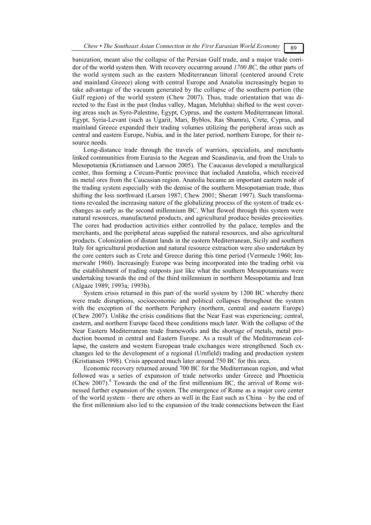banization, meant also the collapse of the Persian Gulf trade, and a major trade corridor of the world system then. With recovery occurring around *1700 BC*, the other parts of the world system such as the eastern Mediterranean littoral (centered around Crete and mainland Greece) along with central Europe and Anatolia increasingly began to take advantage of the vacuum generated by the collapse of the southern portion (the Gulf region) of the world system (Chew 2007). Thus, trade orientation that was directed to the East in the past (Indus valley, Magan, Meluhha) shifted to the west covering areas such as Syro-Palestine, Egypt, Cyprus, and the eastern Mediterranean littoral. Egypt, Syria-Levant (such as Ugarit, Mari, Byblos, Ras Shamra), Crete, Cyprus, and mainland Greece expanded their trading volumes utilizing the peripheral areas such as central and eastern Europe, Nubia, and in the later period, northern Europe, for their resource needs.

Long-distance trade through the travels of warriors, specialists, and merchants linked communities from Eurasia to the Aegean and Scandinavia, and from the Urals to Mesopotamia (Kristiansen and Larsson 2005). The Caucasus developed a metallurgical center, thus forming a Circum-Pontic province that included Anatolia, which received its metal ores from the Caucasian region. Anatolia became an important eastern node of the trading system especially with the demise of the southern Mesopotamian trade, thus shifting the loss northward (Larsen 1987; Chew 2001; Sheratt 1997). Such transformations revealed the increasing nature of the globalizing process of the system of trade exchanges as early as the second millennium BC. What flowed through this system were natural resources, manufactured products, and agricultural produce besides preciosities. The cores had production activities either controlled by the palace, temples and the merchants, and the peripheral areas supplied the natural resources, and also agricultural products. Colonization of distant lands in the eastern Mediterranean, Sicily and southern Italy for agricultural production and natural resource extraction were also undertaken by the core centers such as Crete and Greece during this time period (Vermeule 1960; Immerwahr 1960). Increasingly Europe was being incorporated into the trading orbit via the establishment of trading outposts just like what the southern Mesopotamians were undertaking towards the end of the third millennium in northern Mesopotamia and Iran (Algaze 1989; 1993a; 1993b).

System crisis returned in this part of the world system by 1200 BC whereby there were trade disruptions, socioeconomic and political collapses throughout the system with the exception of the northern Periphery (northern, central and eastern Europe) (Chew 2007). Unlike the crisis conditions that the Near East was experiencing; central, eastern, and northern Europe faced these conditions much later. With the collapse of the Near Eastern Mediterranean trade frameworks and the shortage of metals, metal production boomed in central and Eastern Europe. As a result of the Mediterranean collapse, the eastern and western European trade exchanges were strengthened. Such exchanges led to the development of a regional (Urnfield) trading and production system (Kristiansen 1998). Crisis appeared much later around 750 BC for this area.

Economic recovery returned around 700 BC for the Mediterranean region, and what followed was a series of expansion of trade networks under Greece and Phoenicia (Chew 2007).<sup>4</sup> Towards the end of the first millennium BC, the arrival of Rome witnessed further expansion of the system. The emergence of Rome as a major core center of the world system – there are others as well in the East such as China – by the end of the first millennium also led to the expansion of the trade connections between the East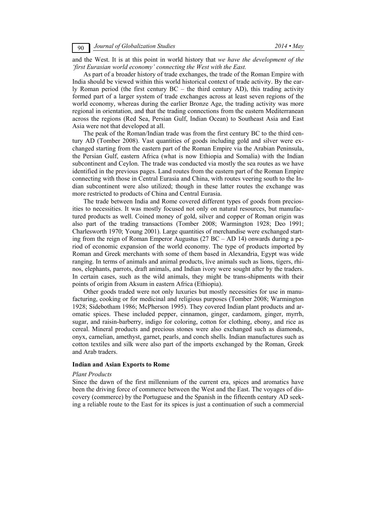and the West. It is at this point in world history that *we have the development of the 'first Eurasian world economy' connecting the West with the East.* 

As part of a broader history of trade exchanges, the trade of the Roman Empire with India should be viewed within this world historical context of trade activity. By the early Roman period (the first century BC – the third century AD), this trading activity formed part of a larger system of trade exchanges across at least seven regions of the world economy, whereas during the earlier Bronze Age, the trading activity was more regional in orientation, and that the trading connections from the eastern Mediterranean across the regions (Red Sea, Persian Gulf, Indian Ocean) to Southeast Asia and East Asia were not that developed at all.

The peak of the Roman/Indian trade was from the first century BC to the third century AD (Tomber 2008). Vast quantities of goods including gold and silver were exchanged starting from the eastern part of the Roman Empire via the Arabian Peninsula, the Persian Gulf, eastern Africa (what is now Ethiopia and Somalia) with the Indian subcontinent and Ceylon. The trade was conducted via mostly the sea routes as we have identified in the previous pages. Land routes from the eastern part of the Roman Empire connecting with those in Central Eurasia and China, with routes veering south to the Indian subcontinent were also utilized; though in these latter routes the exchange was more restricted to products of China and Central Eurasia.

The trade between India and Rome covered different types of goods from preciosities to necessities. It was mostly focused not only on natural resources, but manufactured products as well. Coined money of gold, silver and copper of Roman origin was also part of the trading transactions (Tomber 2008; Warmington 1928; Deo 1991; Charlesworth 1970; Young 2001). Large quantities of merchandise were exchanged starting from the reign of Roman Emperor Augustus (27 BC – AD 14) onwards during a period of economic expansion of the world economy. The type of products imported by Roman and Greek merchants with some of them based in Alexandria, Egypt was wide ranging. In terms of animals and animal products, live animals such as lions, tigers, rhinos, elephants, parrots, draft animals, and Indian ivory were sought after by the traders. In certain cases, such as the wild animals, they might be trans-shipments with their points of origin from Aksum in eastern Africa (Ethiopia).

Other goods traded were not only luxuries but mostly necessities for use in manufacturing, cooking or for medicinal and religious purposes (Tomber 2008; Warmington 1928; Sidebotham 1986; McPherson 1995). They covered Indian plant products and aromatic spices. These included pepper, cinnamon, ginger, cardamom, ginger, myrrh, sugar, and raisin-barberry, indigo for coloring, cotton for clothing, ebony, and rice as cereal. Mineral products and precious stones were also exchanged such as diamonds, onyx, carnelian, amethyst, garnet, pearls, and conch shells. Indian manufactures such as cotton textiles and silk were also part of the imports exchanged by the Roman, Greek and Arab traders.

# **Indian and Asian Exports to Rome**

### *Plant Products*

Since the dawn of the first millennium of the current era, spices and aromatics have been the driving force of commerce between the West and the East. The voyages of discovery (commerce) by the Portuguese and the Spanish in the fifteenth century AD seeking a reliable route to the East for its spices is just a continuation of such a commercial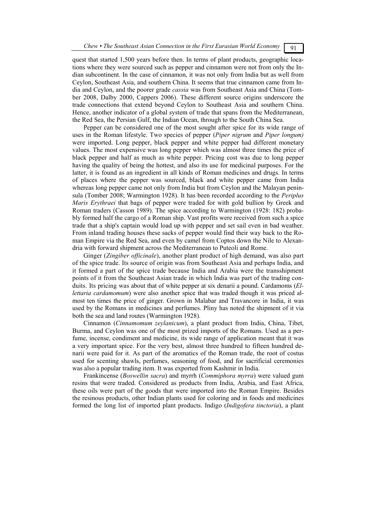quest that started 1,500 years before then. In terms of plant products, geographic locations where they were sourced such as pepper and cinnamon were not from only the Indian subcontinent. In the case of cinnamon, it was not only from India but as well from Ceylon, Southeast Asia, and southern China. It seems that true cinnamon came from India and Ceylon, and the poorer grade *cassia* was from Southeast Asia and China (Tomber 2008, Dalby 2000, Cappers 2006). These different source origins underscore the trade connections that extend beyond Ceylon to Southeast Asia and southern China. Hence, another indicator of a global system of trade that spans from the Mediterranean, the Red Sea, the Persian Gulf, the Indian Ocean, through to the South China Sea.

Pepper can be considered one of the most sought after spice for its wide range of uses in the Roman lifestyle. Two species of pepper (*Piper nigrum* and *Piper longum)* were imported. Long pepper, black pepper and white pepper had different monetary values. The most expensive was long pepper which was almost three times the price of black pepper and half as much as white pepper. Pricing cost was due to long pepper having the quality of being the hottest, and also its use for medicinal purposes. For the latter, it is found as an ingredient in all kinds of Roman medicines and drugs. In terms of places where the pepper was sourced, black and white pepper came from India whereas long pepper came not only from India but from Ceylon and the Malayan peninsula (Tomber 2008; Warmington 1928). It has been recorded according to the *Periplus Maris Erythraei* that bags of pepper were traded for with gold bullion by Greek and Roman traders (Casson 1989). The spice according to Warmington (1928: 182) probably formed half the cargo of a Roman ship. Vast profits were received from such a spice trade that a ship's captain would load up with pepper and set sail even in bad weather. From inland trading houses these sacks of pepper would find their way back to the Roman Empire via the Red Sea, and even by camel from Coptos down the Nile to Alexandria with forward shipment across the Mediterranean to Puteoli and Rome.

Ginger (*Zingiber officinale*), another plant product of high demand, was also part of the spice trade. Its source of origin was from Southeast Asia and perhaps India, and it formed a part of the spice trade because India and Arabia were the transshipment points of it from the Southeast Asian trade in which India was part of the trading conduits. Its pricing was about that of white pepper at six denarii a pound. Cardamoms (*Ellettaria cardamomum*) were also another spice that was traded though it was priced almost ten times the price of ginger. Grown in Malabar and Travancore in India, it was used by the Romans in medicines and perfumes. Pliny has noted the shipment of it via both the sea and land routes (Warmington 1928).

Cinnamon (*Cinnamomum zeylanicum*), a plant product from India, China, Tibet, Burma, and Ceylon was one of the most prized imports of the Romans. Used as a perfume, incense, condiment and medicine, its wide range of application meant that it was a very important spice. For the very best, almost three hundred to fifteen hundred denarii were paid for it. As part of the aromatics of the Roman trade, the root of costus used for scenting shawls, perfumes, seasoning of food, and for sacrificial ceremonies was also a popular trading item. It was exported from Kashmir in India.

Frankincense (*Boswellin sacra*) and myrrh (*Commiphora myrra*) were valued gum resins that were traded. Considered as products from India, Arabia, and East Africa, these oils were part of the goods that were imported into the Roman Empire. Besides the resinous products, other Indian plants used for coloring and in foods and medicines formed the long list of imported plant products. Indigo (*Indigofera tinctoria*), a plant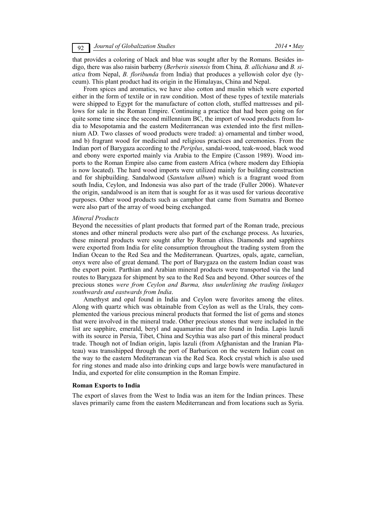that provides a coloring of black and blue was sought after by the Romans. Besides indigo, there was also raisin barberry (*Berberis sinensis* from China*, B. allichiana* and *B. siatica* from Nepal, *B. floribunda* from India) that produces a yellowish color dye (lyceum). This plant product had its origin in the Himalayas, China and Nepal.

From spices and aromatics, we have also cotton and muslin which were exported either in the form of textile or in raw condition. Most of these types of textile materials were shipped to Egypt for the manufacture of cotton cloth, stuffed mattresses and pillows for sale in the Roman Empire. Continuing a practice that had been going on for quite some time since the second millennium BC, the import of wood products from India to Mesopotamia and the eastern Mediterranean was extended into the first millennium AD. Two classes of wood products were traded: a) ornamental and timber wood, and b) fragrant wood for medicinal and religious practices and ceremonies. From the Indian port of Barygaza according to the *Periplus*, sandal-wood, teak-wood, black wood and ebony were exported mainly via Arabia to the Empire (Casson 1989). Wood imports to the Roman Empire also came from eastern Africa (where modern day Ethiopia is now located). The hard wood imports were utilized mainly for building construction and for shipbuilding. Sandalwood (*Santalum album*) which is a fragrant wood from south India, Ceylon, and Indonesia was also part of the trade (Fuller 2006). Whatever the origin, sandalwood is an item that is sought for as it was used for various decorative purposes. Other wood products such as camphor that came from Sumatra and Borneo were also part of the array of wood being exchanged.

### *Mineral Products*

Beyond the necessities of plant products that formed part of the Roman trade, precious stones and other mineral products were also part of the exchange process. As luxuries, these mineral products were sought after by Roman elites. Diamonds and sapphires were exported from India for elite consumption throughout the trading system from the Indian Ocean to the Red Sea and the Mediterranean. Quartzes, opals, agate, carnelian, onyx were also of great demand. The port of Barygaza on the eastern Indian coast was the export point. Parthian and Arabian mineral products were transported via the land routes to Barygaza for shipment by sea to the Red Sea and beyond. Other sources of the precious stones *were from Ceylon and Burma, thus underlining the trading linkages southwards and eastwards from India*.

Amethyst and opal found in India and Ceylon were favorites among the elites. Along with quartz which was obtainable from Ceylon as well as the Urals, they complemented the various precious mineral products that formed the list of gems and stones that were involved in the mineral trade. Other precious stones that were included in the list are sapphire, emerald, beryl and aquamarine that are found in India. Lapis lazuli with its source in Persia, Tibet, China and Scythia was also part of this mineral product trade. Though not of Indian origin, lapis lazuli (from Afghanistan and the Iranian Plateau) was transshipped through the port of Barbaricon on the western Indian coast on the way to the eastern Mediterranean via the Red Sea. Rock crystal which is also used for ring stones and made also into drinking cups and large bowls were manufactured in India, and exported for elite consumption in the Roman Empire.

### **Roman Exports to India**

The export of slaves from the West to India was an item for the Indian princes. These slaves primarily came from the eastern Mediterranean and from locations such as Syria.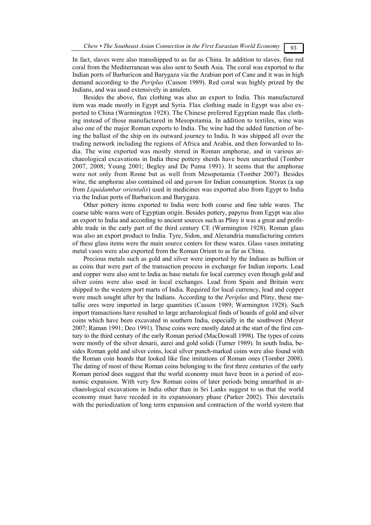In fact, slaves were also transshipped to as far as China. In addition to slaves, fine red coral from the Mediterranean was also sent to South Asia. The coral was exported to the Indian ports of Barbaricon and Barygaza via the Arabian port of Cane and it was in high demand according to the *Periplus* (Casson 1989). Red coral was highly prized by the Indians, and was used extensively in amulets.

Besides the above, flax clothing was also an export to India. This manufactured item was made mostly in Egypt and Syria. Flax clothing made in Egypt was also exported to China (Warmington 1928). The Chinese preferred Egyptian made flax clothing instead of those manufactured in Mesopotamia. In addition to textiles, wine was also one of the major Roman exports to India. The wine had the added function of being the ballast of the ship on its outward journey to India. It was shipped all over the trading network including the regions of Africa and Arabia, and then forwarded to India. The wine exported was mostly stored in Roman amphorae, and in various archaeological excavations in India these pottery sherds have been unearthed (Tomber 2007, 2008; Young 2001; Begley and De Puma 1991). It seems that the amphorae were not only from Rome but as well from Mesopotamia (Tomber 2007). Besides wine, the amphorae also contained oil and *garum* for Indian consumption. Storax (a sap from *Liquidambar orientalis*) used in medicines was exported also from Egypt to India via the Indian ports of Barbaricon and Barygaza.

Other pottery items exported to India were both coarse and fine table wares. The coarse table wares were of Egyptian origin. Besides pottery, papyrus from Egypt was also an export to India and according to ancient sources such as Pliny it was a great and profitable trade in the early part of the third century CE (Warmington 1928). Roman glass was also an export product to India. Tyre, Sidon, and Alexandria manufacturing centers of these glass items were the main source centers for these wares. Glass vases imitating metal vases were also exported from the Roman Orient to as far as China.

Precious metals such as gold and silver were imported by the Indians as bullion or as coins that were part of the transaction process in exchange for Indian imports. Lead and copper were also sent to India as base metals for local currency even though gold and silver coins were also used in local exchanges. Lead from Spain and Britain were shipped to the western port marts of India. Required for local currency, lead and copper were much sought after by the Indians. According to the *Periplus* and Pliny, these metallic ores were imported in large quantities (Casson 1989; Warmington 1928). Such import transactions have resulted to large archaeological finds of hoards of gold and silver coins which have been excavated in southern India, especially in the southwest (Meyer 2007; Raman 1991; Deo 1991). These coins were mostly dated at the start of the first century to the third century of the early Roman period (MacDowall 1998). The types of coins were mostly of the silver denarii, aurei and gold solidi (Turner 1989). In south India, besides Roman gold and silver coins, local silver punch-marked coins were also found with the Roman coin hoards that looked like fine imitations of Roman ones (Tomber 2008). The dating of most of these Roman coins belonging to the first three centuries of the early Roman period does suggest that the world economy must have been in a period of economic expansion. With very few Roman coins of later periods being unearthed in archaeological excavations in India other than in Sri Lanks suggest to us that the world economy must have receded in its expansionary phase (Parker 2002). This dovetails with the periodization of long term expansion and contraction of the world system that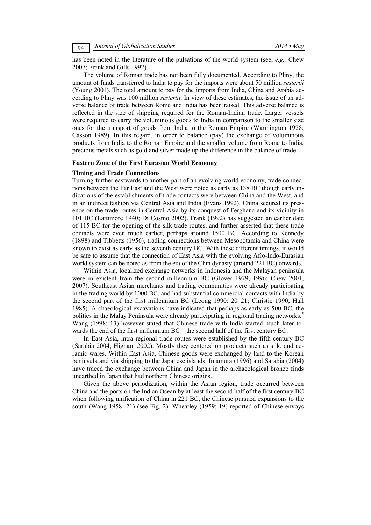has been noted in the literature of the pulsations of the world system (see, *e.g.,* Chew 2007; Frank and Gills 1992).

The volume of Roman trade has not been fully documented. According to Pliny, the amount of funds transferred to India to pay for the imports were about 50 million *sestertii* (Young 2001). The total amount to pay for the imports from India, China and Arabia according to Pliny was 100 million *sestertii*. In view of these estimates, the issue of an adverse balance of trade between Rome and India has been raised. This adverse balance is reflected in the size of shipping required for the Roman-Indian trade. Larger vessels were required to carry the voluminous goods to India in comparison to the smaller size ones for the transport of goods from India to the Roman Empire (Warmington 1928; Casson 1989). In this regard, in order to balance (pay) the exchange of voluminous products from India to the Roman Empire and the smaller volume from Rome to India, precious metals such as gold and silver made up the difference in the balance of trade.

## **Eastern Zone of the First Eurasian World Economy**

# **Timing and Trade Connections**

Turning further eastwards to another part of an evolving world economy, trade connections between the Far East and the West were noted as early as 138 BC though early indications of the establishments of trade contacts were between China and the West, and in an indirect fashion via Central Asia and India (Evans 1992). China secured its presence on the trade routes in Central Asia by its conquest of Ferghana and its vicinity in 101 BC (Lattimore 1940; Di Cosmo 2002). Frank (1992) has suggested an earlier date of 115 BC for the opening of the silk trade routes, and further asserted that these trade contacts were even much earlier, perhaps around 1500 BC. According to Kennedy (1898) and Tibbetts (1956), trading connections between Mesopotamia and China were known to exist as early as the seventh century BC. With these different timings, it would be safe to assume that the connection of East Asia with the evolving Afro-Indo-Eurasian world system can be noted as from the era of the Chin dynasty (around 221 BC) onwards.

Within Asia, localized exchange networks in Indonesia and the Malayan peninsula were in existent from the second millennium BC (Glover 1979, 1996; Chew 2001, 2007). Southeast Asian merchants and trading communities were already participating in the trading world by 1000 BC, and had substantial commercial contacts with India by the second part of the first millennium BC (Leong 1990: 20–21; Christie 1990; Hall 1985). Archaeological excavations have indicated that perhaps as early as 500 BC, the polities in the Malay Peninsula were already participating in regional trading networks.<sup>5</sup> Wang (1998: 13) however stated that Chinese trade with India started much later towards the end of the first millennium BC – the second half of the first century BC.

In East Asia, intra regional trade routes were established by the fifth century BC (Sarabia 2004; Higham 2002). Mostly they centered on products such as silk, and ceramic wares. Within East Asia, Chinese goods were exchanged by land to the Korean peninsula and via shipping to the Japanese islands. Imamura (1996) and Sarabia (2004) have traced the exchange between China and Japan in the archaeological bronze finds unearthed in Japan that had northern Chinese origins.

Given the above periodization, within the Asian region, trade occurred between China and the ports on the Indian Ocean by at least the second half of the first century BC when following unification of China in 221 BC, the Chinese pursued expansions to the south (Wang 1958: 21) (see Fig. 2). Wheatley (1959: 19) reported of Chinese envoys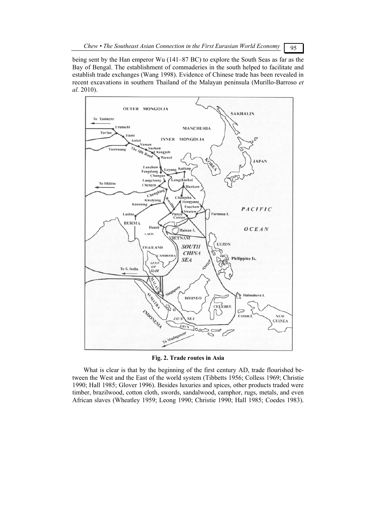being sent by the Han emperor Wu (141–87 BC) to explore the South Seas as far as the Bay of Bengal. The establishment of commaderies in the south helped to facilitate and establish trade exchanges (Wang 1998). Evidence of Chinese trade has been revealed in recent excavations in southern Thailand of the Malayan peninsula (Murillo-Barroso *et al.* 2010).



**Fig. 2. Trade routes in Asia** 

What is clear is that by the beginning of the first century AD, trade flourished between the West and the East of the world system (Tibbetts 1956; Colless 1969; Christie 1990; Hall 1985; Glover 1996). Besides luxuries and spices, other products traded were timber, brazilwood, cotton cloth, swords, sandalwood, camphor, rugs, metals, and even African slaves (Wheatley 1959; Leong 1990; Christie 1990; Hall 1985; Coedes 1983).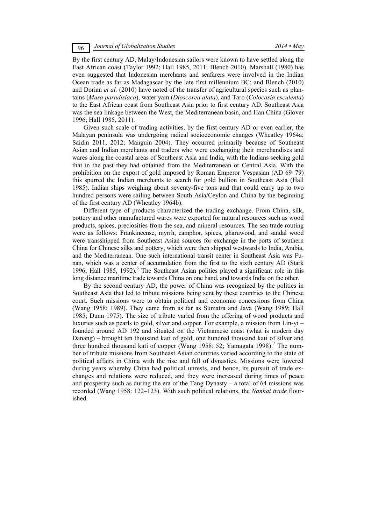By the first century AD, Malay/Indonesian sailors were known to have settled along the East African coast (Taylor 1992; Hall 1985, 2011; Blench 2010). Marshall (1980) has even suggested that Indonesian merchants and seafarers were involved in the Indian Ocean trade as far as Madagascar by the late first millennium BC; and Blench (2010) and Dorian *et al.* (2010) have noted of the transfer of agricultural species such as plantains (*Musa paradisiaca*), water yam (*Dioscorea alata*), and Taro (*Colocasia esculenta*) to the East African coast from Southeast Asia prior to first century AD. Southeast Asia was the sea linkage between the West, the Mediterranean basin, and Han China (Glover 1996; Hall 1985, 2011).

Given such scale of trading activities, by the first century AD or even earlier, the Malayan peninsula was undergoing radical socioeconomic changes (Wheatley 1964a; Saidin 2011, 2012; Manguin 2004). They occurred primarily because of Southeast Asian and Indian merchants and traders who were exchanging their merchandises and wares along the coastal areas of Southeast Asia and India, with the Indians seeking gold that in the past they had obtained from the Mediterranean or Central Asia. With the prohibition on the export of gold imposed by Roman Emperor Vespasian (AD 69–79) this spurred the Indian merchants to search for gold bullion in Southeast Asia (Hall 1985). Indian ships weighing about seventy-five tons and that could carry up to two hundred persons were sailing between South Asia/Ceylon and China by the beginning of the first century AD (Wheatley 1964b).

Different type of products characterized the trading exchange. From China, silk, pottery and other manufactured wares were exported for natural resources such as wood products, spices, preciosities from the sea, and mineral resources. The sea trade routing were as follows: Frankincense, myrrh, camphor, spices, gharuwood, and sandal wood were transshipped from Southeast Asian sources for exchange in the ports of southern China for Chinese silks and pottery, which were then shipped westwards to India, Arabia, and the Mediterranean. One such international transit center in Southeast Asia was Funan, which was a center of accumulation from the first to the sixth century AD (Stark 1996; Hall 1985, 1992).<sup>6</sup> The Southeast Asian polities played a significant role in this long distance maritime trade towards China on one hand, and towards India on the other.

By the second century AD, the power of China was recognized by the polities in Southeast Asia that led to tribute missions being sent by these countries to the Chinese court. Such missions were to obtain political and economic concessions from China (Wang 1958; 1989). They came from as far as Sumatra and Java (Wang 1989; Hall 1985; Dunn 1975). The size of tribute varied from the offering of wood products and luxuries such as pearls to gold, silver and copper. For example, a mission from Lin-yi – founded around AD 192 and situated on the Vietnamese coast (what is modern day Danang) – brought ten thousand kati of gold, one hundred thousand kati of silver and three hundred thousand kati of copper (Wang 1958: 52; Yamagata 1998).<sup>7</sup> The number of tribute missions from Southeast Asian countries varied according to the state of political affairs in China with the rise and fall of dynasties. Missions were lowered during years whereby China had political unrests, and hence, its pursuit of trade exchanges and relations were reduced, and they were increased during times of peace and prosperity such as during the era of the Tang Dynasty – a total of 64 missions was recorded (Wang 1958: 122–123). With such political relations, the *Nanhai trade* flourished.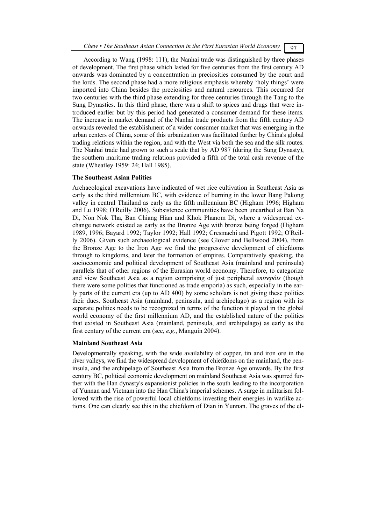According to Wang (1998: 111), the Nanhai trade was distinguished by three phases of development. The first phase which lasted for five centuries from the first century AD onwards was dominated by a concentration in preciosities consumed by the court and the lords. The second phase had a more religious emphasis whereby 'holy things' were imported into China besides the preciosities and natural resources. This occurred for two centuries with the third phase extending for three centuries through the Tang to the Sung Dynasties. In this third phase, there was a shift to spices and drugs that were introduced earlier but by this period had generated a consumer demand for these items. The increase in market demand of the Nanhai trade products from the fifth century AD onwards revealed the establishment of a wider consumer market that was emerging in the urban centers of China, some of this urbanization was facilitated further by China's global trading relations within the region, and with the West via both the sea and the silk routes. The Nanhai trade had grown to such a scale that by AD 987 (during the Sung Dynasty), the southern maritime trading relations provided a fifth of the total cash revenue of the state (Wheatley 1959: 24; Hall 1985).

### **The Southeast Asian Polities**

Archaeological excavations have indicated of wet rice cultivation in Southeast Asia as early as the third millennium BC, with evidence of burning in the lower Bang Pakong valley in central Thailand as early as the fifth millennium BC (Higham 1996; Higham and Lu 1998; O'Reilly 2006). Subsistence communities have been unearthed at Ban Na Di, Non Nok Tha, Ban Chiang Hian and Khok Phanom Di, where a widespread exchange network existed as early as the Bronze Age with bronze being forged (Higham 1989, 1996; Bayard 1992; Taylor 1992; Hall 1992; Cresmachi and Pigott 1992; O'Reilly 2006). Given such archaeological evidence (see Glover and Bellwood 2004), from the Bronze Age to the Iron Age we find the progressive development of chiefdoms through to kingdoms, and later the formation of empires. Comparatively speaking, the socioeconomic and political development of Southeast Asia (mainland and peninsula) parallels that of other regions of the Eurasian world economy. Therefore, to categorize and view Southeast Asia as a region comprising of just peripheral *entrepôts* (though there were some polities that functioned as trade emporia) as such, especially in the early parts of the current era (up to AD 400) by some scholars is not giving these polities their dues. Southeast Asia (mainland, peninsula, and archipelago) as a region with its separate polities needs to be recognized in terms of the function it played in the global world economy of the first millennium AD, and the established nature of the polities that existed in Southeast Asia (mainland, peninsula, and archipelago) as early as the first century of the current era (see, *e.g*., Manguin 2004).

## **Mainland Southeast Asia**

Developmentally speaking, with the wide availability of copper, tin and iron ore in the river valleys, we find the widespread development of chiefdoms on the mainland, the peninsula, and the archipelago of Southeast Asia from the Bronze Age onwards. By the first century BC, political economic development on mainland Southeast Asia was spurred further with the Han dynasty's expansionist policies in the south leading to the incorporation of Yunnan and Vietnam into the Han China's imperial schemes. A surge in militarism followed with the rise of powerful local chiefdoms investing their energies in warlike actions. One can clearly see this in the chiefdom of Dian in Yunnan. The graves of the el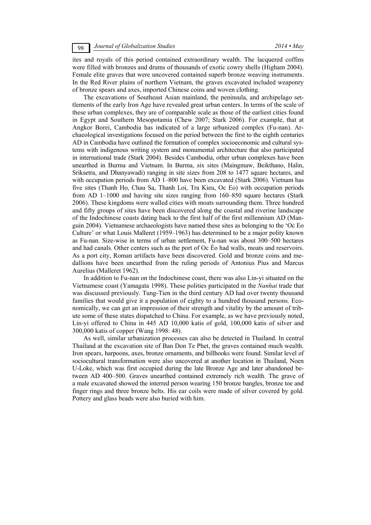ites and royals of this period contained extraordinary wealth. The lacquered coffins were filled with bronzes and drums of thousands of exotic cowry shells (Higham 2004). Female elite graves that were uncovered contained superb bronze weaving instruments. In the Red River plains of northern Vietnam, the graves excavated included weaponry of bronze spears and axes, imported Chinese coins and woven clothing.

The excavations of Southeast Asian mainland, the peninsula, and archipelago settlements of the early Iron Age have revealed great urban centers. In terms of the scale of these urban complexes, they are of comparable scale as those of the earliest cities found in Egypt and Southern Mesopotamia (Chew 2007; Stark 2006). For example, that at Angkor Borei, Cambodia has indicated of a large urbanized complex (Fu-nan). Archaeological investigations focused on the period between the first to the eighth centuries AD in Cambodia have outlined the formation of complex socioeconomic and cultural systems with indigenous writing system and monumental architecture that also participated in international trade (Stark 2004). Besides Cambodia, other urban complexes have been unearthed in Burma and Vietnam. In Burma, six sites (Maingmaw, Beikthano, Halin, Sriksetra, and Dhanyawadi) ranging in site sizes from 208 to 1477 square hectares, and with occupation periods from AD 1–800 have been excavated (Stark 2006). Vietnam has five sites (Thanh Ho, Chau Sa, Thanh Loi, Tra Kieu, Oc Eo) with occupation periods from AD 1–1000 and having site sizes ranging from 160–850 square hectares (Stark 2006). These kingdoms were walled cities with moats surrounding them. Three hundred and fifty groups of sites have been discovered along the coastal and riverine landscape of the Indochinese coasts dating back to the first half of the first millennium AD (Manguin 2004). Vietnamese archaeologists have named these sites as belonging to the 'Oc Eo Culture' or what Louis Malleret (1959–1963) has determined to be a major polity known as Fu-nan. Size-wise in terms of urban settlement, Fu-nan was about 300–500 hectares and had canals. Other centers such as the port of Oc Éo had walls, moats and reservoirs. As a port city, Roman artifacts have been discovered. Gold and bronze coins and medallions have been unearthed from the ruling periods of Antonius Pius and Marcus Aurelius (Malleret 1962).

In addition to Fu-nan on the Indochinese coast, there was also Lin-yi situated on the Vietnamese coast (Yamagata 1998). These polities participated in the *Nanhai* trade that was discussed previously. Tung-Tien in the third century AD had over twenty thousand families that would give it a population of eighty to a hundred thousand persons. Economically, we can get an impression of their strength and vitality by the amount of tribute some of these states dispatched to China. For example, as we have previously noted, Lin-yi offered to China in 445 AD 10,000 katis of gold, 100,000 katis of silver and 300,000 katis of copper (Wang 1998: 48).

As well, similar urbanization processes can also be detected in Thailand. In central Thailand at the excavation site of Ban Don Te Phet, the graves contained much wealth. Iron spears, harpoons, axes, bronze ornaments, and billhooks were found. Similar level of sociocultural transformation were also uncovered at another location in Thailand, Noen U-Loke, which was first occupied during the late Bronze Age and later abandoned between AD 400–500. Graves unearthed contained extremely rich wealth. The grave of a male excavated showed the interred person wearing 150 bronze bangles, bronze toe and finger rings and three bronze belts. His ear coils were made of silver covered by gold. Pottery and glass beads were also buried with him.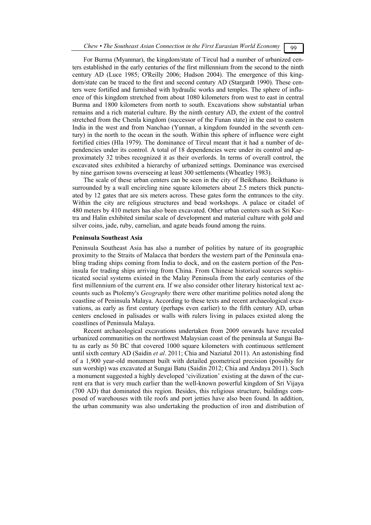For Burma (Myanmar), the kingdom/state of Tircul had a number of urbanized centers established in the early centuries of the first millennium from the second to the ninth century AD (Luce 1985; O'Reilly 2006; Hudson 2004). The emergence of this kingdom/state can be traced to the first and second century AD (Stargardt 1990). These centers were fortified and furnished with hydraulic works and temples. The sphere of influence of this kingdom stretched from about 1080 kilometers from west to east in central Burma and 1800 kilometers from north to south. Excavations show substantial urban remains and a rich material culture. By the ninth century AD, the extent of the control stretched from the Chenla kingdom (successor of the Funan state) in the east to eastern India in the west and from Nanchao (Yunnan, a kingdom founded in the seventh century) in the north to the ocean in the south. Within this sphere of influence were eight fortified cities (Hla 1979). The dominance of Tircul meant that it had a number of dependencies under its control. A total of 18 dependencies were under its control and approximately 32 tribes recognized it as their overlords. In terms of overall control, the excavated sites exhibited a hierarchy of urbanized settings. Dominance was exercised by nine garrison towns overseeing at least 300 settlements (Wheatley 1983).

The scale of these urban centers can be seen in the city of Beikthano. Beikthano is surrounded by a wall encircling nine square kilometers about 2.5 meters thick punctuated by 12 gates that are six meters across. These gates form the entrances to the city. Within the city are religious structures and bead workshops. A palace or citadel of 480 meters by 410 meters has also been excavated. Other urban centers such as Sri Ksetra and Halin exhibited similar scale of development and material culture with gold and silver coins, jade, ruby, carnelian, and agate beads found among the ruins.

### **Peninsula Southeast Asia**

Peninsula Southeast Asia has also a number of polities by nature of its geographic proximity to the Straits of Malacca that borders the western part of the Peninsula enabling trading ships coming from India to dock, and on the eastern portion of the Peninsula for trading ships arriving from China. From Chinese historical sources sophisticated social systems existed in the Malay Peninsula from the early centuries of the first millennium of the current era. If we also consider other literary historical text accounts such as Ptolemy's *Geography* there were other maritime polities noted along the coastline of Peninsula Malaya. According to these texts and recent archaeological excavations, as early as first century (perhaps even earlier) to the fifth century AD, urban centers enclosed in palisades or walls with rulers living in palaces existed along the coastlines of Peninsula Malaya.

Recent archaeological excavations undertaken from 2009 onwards have revealed urbanized communities on the northwest Malaysian coast of the peninsula at Sungai Batu as early as 50 BC that covered 1000 square kilometers with continuous settlement until sixth century AD (Saidin *et al*. 2011; Chia and Naziatul 2011). An astonishing find of a 1,900 year-old monument built with detailed geometrical precision (possibly for sun worship) was excavated at Sungai Batu (Saidin 2012; Chia and Andaya 2011). Such a monument suggested a highly developed 'civilization' existing at the dawn of the current era that is very much earlier than the well-known powerful kingdom of Sri Vijaya (700 AD) that dominated this region. Besides, this religious structure, buildings composed of warehouses with tile roofs and port jetties have also been found. In addition, the urban community was also undertaking the production of iron and distribution of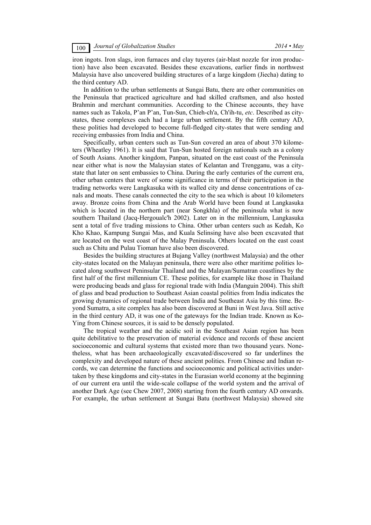iron ingots. Iron slags, iron furnaces and clay tuyeres (air-blast nozzle for iron production) have also been excavated. Besides these excavations, earlier finds in northwest Malaysia have also uncovered building structures of a large kingdom (Jiecha) dating to the third century AD.

In addition to the urban settlements at Sungai Batu, there are other communities on the Peninsula that practiced agriculture and had skilled craftsmen, and also hosted Brahmin and merchant communities. According to the Chinese accounts, they have names such as Takola, P'an P'an, Tun-Sun, Chieh-ch'a, Ch'ih-tu, *etc*. Described as citystates, these complexes each had a large urban settlement. By the fifth century AD, these polities had developed to become full-fledged city-states that were sending and receiving embassies from India and China.

Specifically, urban centers such as Tun-Sun covered an area of about 370 kilometers (Wheatley 1961). It is said that Tun-Sun hosted foreign nationals such as a colony of South Asians. Another kingdom, Panpan, situated on the east coast of the Peninsula near either what is now the Malaysian states of Kelantan and Trengganu, was a citystate that later on sent embassies to China. During the early centuries of the current era, other urban centers that were of some significance in terms of their participation in the trading networks were Langkasuka with its walled city and dense concentrations of canals and moats. These canals connected the city to the sea which is about 10 kilometers away. Bronze coins from China and the Arab World have been found at Langkasuka which is located in the northern part (near Songkhla) of the peninsula what is now southern Thailand (Jacq-Hergoualc'h 2002). Later on in the millennium, Langkasuka sent a total of five trading missions to China. Other urban centers such as Kedah, Ko Kho Khao, Kampung Sungai Mas, and Kuala Selinsing have also been excavated that are located on the west coast of the Malay Peninsula. Others located on the east coast such as Chitu and Pulau Tioman have also been discovered.

Besides the building structures at Bujang Valley (northwest Malaysia) and the other city-states located on the Malayan peninsula, there were also other maritime polities located along southwest Peninsular Thailand and the Malayan/Sumatran coastlines by the first half of the first millennium CE. These polities, for example like those in Thailand were producing beads and glass for regional trade with India (Manguin 2004). This shift of glass and bead production to Southeast Asian coastal polities from India indicates the growing dynamics of regional trade between India and Southeast Asia by this time. Beyond Sumatra, a site complex has also been discovered at Buni in West Java. Still active in the third century AD, it was one of the gateways for the Indian trade. Known as Ko-Ying from Chinese sources, it is said to be densely populated.

The tropical weather and the acidic soil in the Southeast Asian region has been quite debilitative to the preservation of material evidence and records of these ancient socioeconomic and cultural systems that existed more than two thousand years. Nonetheless, what has been archaeologically excavated/discovered so far underlines the complexity and developed nature of these ancient polities. From Chinese and Indian records, we can determine the functions and socioeconomic and political activities undertaken by these kingdoms and city-states in the Eurasian world economy at the beginning of our current era until the wide-scale collapse of the world system and the arrival of another Dark Age (see Chew 2007, 2008) starting from the fourth century AD onwards. For example, the urban settlement at Sungai Batu (northwest Malaysia) showed site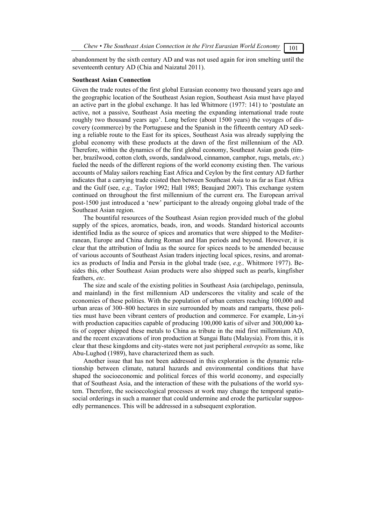abandonment by the sixth century AD and was not used again for iron smelting until the seventeenth century AD (Chia and Naizatul 2011).

### **Southeast Asian Connection**

Given the trade routes of the first global Eurasian economy two thousand years ago and the geographic location of the Southeast Asian region, Southeast Asia must have played an active part in the global exchange. It has led Whitmore (1977: 141) to 'postulate an active, not a passive, Southeast Asia meeting the expanding international trade route roughly two thousand years ago'. Long before (about 1500 years) the voyages of discovery (commerce) by the Portuguese and the Spanish in the fifteenth century AD seeking a reliable route to the East for its spices, Southeast Asia was already supplying the global economy with these products at the dawn of the first millennium of the AD. Therefore, within the dynamics of the first global economy, Southeast Asian goods (timber, brazilwood, cotton cloth, swords, sandalwood, cinnamon, camphor, rugs, metals, *etc*.) fueled the needs of the different regions of the world economy existing then. The various accounts of Malay sailors reaching East Africa and Ceylon by the first century AD further indicates that a carrying trade existed then between Southeast Asia to as far as East Africa and the Gulf (see, *e.g.,* Taylor 1992; Hall 1985; Beaujard 2007). This exchange system continued on throughout the first millennium of the current era. The European arrival post-1500 just introduced a 'new' participant to the already ongoing global trade of the Southeast Asian region.

The bountiful resources of the Southeast Asian region provided much of the global supply of the spices, aromatics, beads, iron, and woods. Standard historical accounts identified India as the source of spices and aromatics that were shipped to the Mediterranean, Europe and China during Roman and Han periods and beyond. However, it is clear that the attribution of India as the source for spices needs to be amended because of various accounts of Southeast Asian traders injecting local spices, resins, and aromatics as products of India and Persia in the global trade (see, *e.g.,* Whitmore 1977). Besides this, other Southeast Asian products were also shipped such as pearls, kingfisher feathers, *etc*.

The size and scale of the existing polities in Southeast Asia (archipelago, peninsula, and mainland) in the first millennium AD underscores the vitality and scale of the economies of these polities. With the population of urban centers reaching 100,000 and urban areas of 300–800 hectares in size surrounded by moats and ramparts, these polities must have been vibrant centers of production and commerce. For example, Lin-yi with production capacities capable of producing 100,000 katis of silver and 300,000 katis of copper shipped these metals to China as tribute in the mid first millennium AD, and the recent excavations of iron production at Sungai Batu (Malaysia). From this, it is clear that these kingdoms and city-states were not just peripheral *entrepôts* as some, like Abu-Lughod (1989), have characterized them as such.

Another issue that has not been addressed in this exploration is the dynamic relationship between climate, natural hazards and environmental conditions that have shaped the socioeconomic and political forces of this world economy, and especially that of Southeast Asia, and the interaction of these with the pulsations of the world system. Therefore, the socioecological processes at work may change the temporal spatiosocial orderings in such a manner that could undermine and erode the particular supposedly permanences. This will be addressed in a subsequent exploration.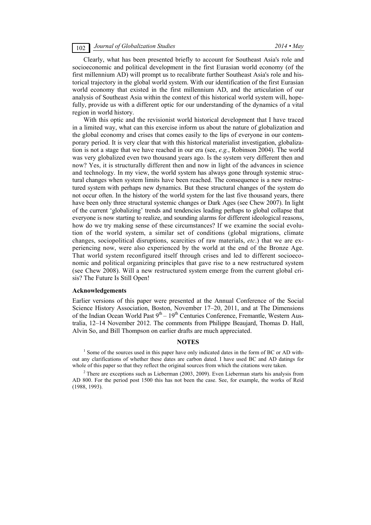*Journal of Globalization Studies* 2014 • May

Clearly, what has been presented briefly to account for Southeast Asia's role and socioeconomic and political development in the first Eurasian world economy (of the first millennium AD) will prompt us to recalibrate further Southeast Asia's role and historical trajectory in the global world system. With our identification of the first Eurasian world economy that existed in the first millennium AD, and the articulation of our analysis of Southeast Asia within the context of this historical world system will, hopefully, provide us with a different optic for our understanding of the dynamics of a vital region in world history.

With this optic and the revisionist world historical development that I have traced in a limited way, what can this exercise inform us about the nature of globalization and the global economy and crises that comes easily to the lips of everyone in our contemporary period. It is very clear that with this historical materialist investigation, globalization is not a stage that we have reached in our era (see, *e.g.*, Robinson 2004). The world was very globalized even two thousand years ago. Is the system very different then and now? Yes, it is structurally different then and now in light of the advances in science and technology. In my view, the world system has always gone through systemic structural changes when system limits have been reached. The consequence is a new restructured system with perhaps new dynamics. But these structural changes of the system do not occur often. In the history of the world system for the last five thousand years, there have been only three structural systemic changes or Dark Ages (see Chew 2007). In light of the current 'globalizing' trends and tendencies leading perhaps to global collapse that everyone is now starting to realize, and sounding alarms for different ideological reasons, how do we try making sense of these circumstances? If we examine the social evolution of the world system, a similar set of conditions (global migrations, climate changes, sociopolitical disruptions, scarcities of raw materials, *etc*.) that we are experiencing now, were also experienced by the world at the end of the Bronze Age. That world system reconfigured itself through crises and led to different socioeconomic and political organizing principles that gave rise to a new restructured system (see Chew 2008). Will a new restructured system emerge from the current global crisis? The Future Is Still Open!

# **Acknowledgements**

Earlier versions of this paper were presented at the Annual Conference of the Social Science History Association, Boston, November 17–20, 2011, and at The Dimensions of the Indian Ocean World Past  $9<sup>th</sup> - 19<sup>th</sup>$  Centuries Conference, Fremantle, Western Australia, 12–14 November 2012. The comments from Philippe Beaujard, Thomas D. Hall, Alvin So, and Bill Thompson on earlier drafts are much appreciated.

### **NOTES**

<sup>1</sup> Some of the sources used in this paper have only indicated dates in the form of BC or AD without any clarifications of whether these dates are carbon dated. I have used BC and AD datings for whole of this paper so that they reflect the original sources from which the citations were taken.

 $2$  There are exceptions such as Lieberman (2003, 2009). Even Lieberman starts his analysis from AD 800. For the period post 1500 this has not been the case. See, for example, the works of Reid (1988, 1993).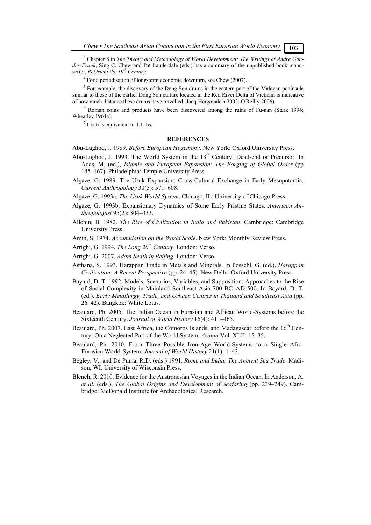<sup>3</sup> Chapter 8 in *The Theory and Methodology of World Development: The Writings of Andre Gunder Frank*, Sing C. Chew and Pat Lauderdale (eds.) has a summary of the unpublished book manuscript, *ReOrient the 19<sup>th</sup> Century*.

<sup>4</sup> For a periodisation of long-term economic downturn, see Chew (2007).

 $<sup>5</sup>$  For example, the discovery of the Dong Son drums in the eastern part of the Malayan peninsula</sup> similar to those of the earlier Dong Son culture located in the Red River Delta of Vietnam is indicative of how much distance these drums have travelled (Jacq-Hergoualc'h 2002; O'Reilly 2006).

<sup>6</sup> Roman coins and products have been discovered among the ruins of Fu-nan (Stark 1996; Wheatley 1964a).

 $<sup>7</sup>1$  kati is equivalent to 1.1 lbs.</sup>

### **REFERENCES**

Abu-Lughod, J. 1989. *Before European Hegemony*. New York: Oxford University Press.

- Abu-Lughod, J. 1993. The World System in the 13<sup>th</sup> Century: Dead-end or Precursor. In Adas, M. (ed.), *Islamic and European Expansion: The Forging of Global Order* (pp 145–167). Philadelphia: Temple University Press.
- Algaze, G. 1989. The Uruk Expansion: Cross-Cultural Exchange in Early Mesopotamia. *Current Anthropology* 30(5): 571–608.

Algaze, G. 1993a. *The Uruk World System*. Chicago, IL: University of Chicago Press.

- Algaze, G. 1993b. Expansionary Dynamics of Some Early Pristine States. *American Anthropologist* 95(2): 304–333.
- Allchin, B. 1982. *The Rise of Civilization in India and Pakistan*. Cambridge: Cambridge University Press.
- Amin, S. 1974. *Accumulation on the World Scale*. New York: Monthly Review Press.
- Arrighi, G. 1994. *The Long 20th Century*. London: Verso.
- Arrighi, G. 2007. *Adam Smith in Beijing*. London: Verso.
- Asthana, S. 1993. Harappan Trade in Metals and Minerals. In Possehl, G. (ed.), *Harappan Civilization: A Recent Perspective* (pp. 24–45)*.* New Delhi: Oxford University Press.
- Bayard, D. T. 1992. Models, Scenarios, Variables, and Supposition: Approaches to the Rise of Social Complexity in Mainland Southeast Asia 700 BC–AD 500. In Bayard, D. T. (ed.), *Early Metallurgy, Trade, and Urbacn Centres in Thailand and Southeast Asia* (pp. 26–42). Bangkok: White Lotus.
- Beaujard, Ph. 2005. The Indian Ocean in Eurasian and African World-Systems before the Sixteenth Century. *Journal of World History* 16(4): 411–465.
- Beaujard, Ph. 2007. East Africa, the Comoros Islands, and Madagascar before the  $16<sup>th</sup>$  Century: On a Neglected Part of the World System*. Azania* Vol. XLII: 15–35.
- Beaujard, Ph. 2010. From Three Possible Iron-Age World-Systems to a Single Afro-Eurasian World-System. *Journal of World History* 21(1): 1–43.
- Begley, V., and De Puma, R.D. (eds.) 1991. *Rome and India: The Ancient Sea Trade*. Madison, WI: University of Wisconsin Press.
- Blench, R. 2010. Evidence for the Austronesian Voyages in the Indian Ocean. In Anderson, A. *et al.* (eds.), *The Global Origins and Development of Seafaring* (pp. 239–249). Cambridge: McDonald Institute for Archaeological Research.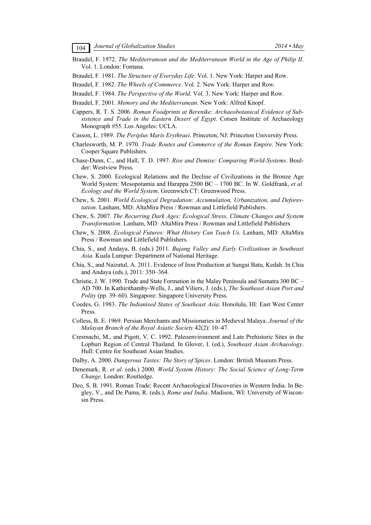- Braudel, F. 1972. *The Mediterranean and the Mediterranean World in the Age of Philip II*. Vol. 1. London: Fontana.
- Braudel, F. 1981. *The Structure of Everyday Life*. Vol. 1. New York: Harper and Row.
- Braudel, F. 1982. *The Wheels of Commerce*. Vol. 2. New York: Harper and Row.
- Braudel, F. 1984. *The Perspective of the World*. Vol. 3. New York: Harper and Row.
- Braudel, F. 2001. *Memory and the Mediterranean*. New York: Alfred Knopf.
- Cappers, R. T. S. 2006. *Roman Foodprints at Berenike: Archaeobotanical Evidence of Subsistence and Trade in the Eastern Desert of Egypt*. Cotsen Institute of Archaeology Monograph #55. Los Angeles: UCLA.
- Casson, L. 1989. *The Periplus Maris Erythraei*. Princeton, NJ: Princeton University Press.
- Charlesworth, M. P. 1970. *Trade Routes and Commerce of the Roman Empire*. New York: Cooper Square Publishers.
- Chase-Dunn, C., and Hall, T. D. 1997. *Rise and Demise: Comparing World-Systems*. Boulder: Westview Press.
- Chew, S. 2000. Ecological Relations and the Decline of Civilizations in the Bronze Age World System: Mesopotamia and Harappa 2500 BC – 1700 BC. In W. Goldfrank, *et al. Ecology and the World System*. Greenwich CT: Greenwood Press.
- Chew, S. 2001. *World Ecological Degradation: Accumulation, Urbanization, and Deforestation.* Lanham, MD: AltaMira Press / Rowman and Littlefield Publishers.
- Chew, S. 2007. *The Recurring Dark Ages: Ecological Stress, Climate Changes and System Transformation*. Lanham, MD*:* AltaMira Press / Rowman and Littlefield Publishers*.*
- Chew, S. 2008. *Ecological Futures: What History Can Teach Us.* Lanham, MD: AltaMira Press / Rowman and Littlefield Publishers.
- Chia, S., and Andaya, B. (eds.) 2011. *Bujang Valley and Early Civilizations in Southeast Asia.* Kuala Lumpur: Department of National Heritage.
- Chia, S., and Naizatul, A. 2011. Evidence of Iron Production at Sungai Batu, Kedah. In Chia and Andaya (eds.), 2011: 350–364.
- Christie, J. W. 1990. Trade and State Formation in the Malay Peninsula and Sumatra 300 BC AD 700. In Kathirithamby-Wells, J., and Viliers, J. (eds.), *The Southeast Asian Port and Polity* (pp. 39–60). Singapore: Singapore University Press.
- Coedes, G. 1983. *The Indianised States of Southeast Asia*. Honolulu, HI: East West Center Press.
- Colless, B. E. 1969. Persian Merchants and Missionaries in Medieval Malaya. *Journal of the Malayan Branch of the Royal Asiatic Society* 42(2): 10–47.
- Cresmachi, M., and Pigott, V. C. 1992. Paleoenvironment and Late Prehistoric Sites in the Lopburi Region of Central Thailand. In Glover, I. (ed.), *Southeast Asian Archaeology*. Hull: Centre for Southeast Asian Studies.
- Dalby, A. 2000. *Dangerous Tastes: The Story of Spices*. London: British Museum Press.
- Denemark, R. *et al*. (eds.) 2000. *World System History: The Social Science of Long-Term Change.* London: Routledge.
- Deo, S. B. 1991. Roman Trade: Recent Archaeological Discoveries in Western India. In Begley, V., and De Puma, R. (eds.), *Rome and India*. Madison, WI: University of Wisconsin Press.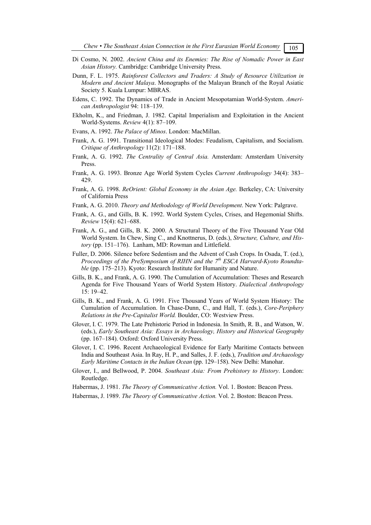- Di Cosmo, N. 2002. *Ancient China and its Enemies: The Rise of Nomadic Power in East Asian History.* Cambridge: Cambridge University Press.
- Dunn, F. L. 1975. *Rainforest Collectors and Traders: A Study of Resource Utilization in Modern and Ancient Malaya*. Monographs of the Malayan Branch of the Royal Asiatic Society 5. Kuala Lumpur: MBRAS.
- Edens, C. 1992. The Dynamics of Trade in Ancient Mesopotamian World-System. *American Anthropologist* 94: 118–139.
- Ekholm, K., and Friedman, J. 1982. Capital Imperialism and Exploitation in the Ancient World-Systems. *Review* 4(1): 87–109.
- Evans, A. 1992. *The Palace of Minos*. London: MacMillan.
- Frank, A. G. 1991. Transitional Ideological Modes: Feudalism, Capitalism, and Socialism. *Critique of Anthropology* 11(2): 171–188.
- Frank, A. G. 1992. *The Centrality of Central Asia.* Amsterdam: Amsterdam University Press.
- Frank, A. G. 1993. Bronze Age World System Cycles *Current Anthropology* 34(4): 383– 429.
- Frank, A. G. 1998. *ReOrient: Global Economy in the Asian Age.* Berkeley, CA: University of California Press
- Frank, A. G. 2010. *Theory and Methodology of World Development*. New York: Palgrave.
- Frank, A. G., and Gills, B. K. 1992. World System Cycles, Crises, and Hegemonial Shifts. *Review* 15(4): 621–688.
- Frank, A. G., and Gills, B. K. 2000. A Structural Theory of the Five Thousand Year Old World System. In Chew, Sing C., and Knottnerus, D. (eds.), *Structure, Culture, and History* (pp. 151–176). Lanham, MD: Rowman and Littlefield.
- Fuller, D. 2006. Silence before Sedentism and the Advent of Cash Crops. In Osada, T. (ed.), Proceedings of the PreSymposium of RIHN and the 7<sup>th</sup> ESCA Harvard-Kyoto Roundta*ble* (pp. 175–213). Kyoto: Research Institute for Humanity and Nature.
- Gills, B. K., and Frank, A. G. 1990. The Cumulation of Accumulation: Theses and Research Agenda for Five Thousand Years of World System History. *Dialectical Anthropology* 15: 19–42.
- Gills, B. K., and Frank, A. G. 1991. Five Thousand Years of World System History: The Cumulation of Accumulation. In Chase-Dunn, C., and Hall, T. (eds.), *Core-Periphery Relations in the Pre-Capitalist World.* Boulder, CO: Westview Press.
- Glover, I. C. 1979. The Late Prehistoric Period in Indonesia. In Smith, R. B., and Watson, W. (eds.), *Early Southeast Asia: Essays in Archaeology, History and Historical Geography* (pp. 167–184). Oxford: Oxford University Press.
- Glover, I. C. 1996. Recent Archaeological Evidence for Early Maritime Contacts between India and Southeast Asia. In Ray, H. P., and Salles, J. F. (eds.), *Tradition and Archaeology Early Maritime Contacts in the Indian Ocean* (pp. 129–158). New Delhi: Manohar.
- Glover, I., and Bellwood, P. 2004. *Southeast Asia: From Prehistory to History*. London: Routledge.

Habermas, J. 1981. *The Theory of Communicative Action.* Vol. 1. Boston: Beacon Press.

Habermas, J. 1989. *The Theory of Communicative Action.* Vol. 2. Boston: Beacon Press.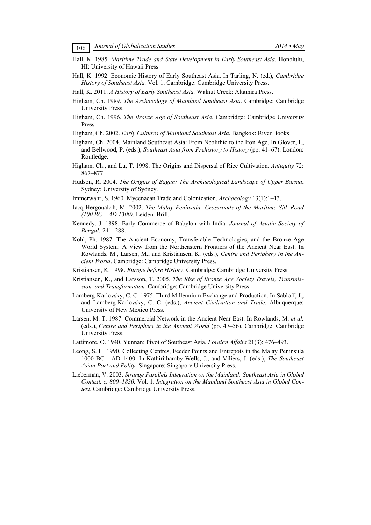- Hall, K. 1985. *Maritime Trade and State Development in Early Southeast Asia.* Honolulu, HI: University of Hawaii Press.
- Hall, K. 1992. Economic History of Early Southeast Asia. In Tarling, N. (ed.), *Cambridge History of Southeast Asia.* Vol. 1. Cambridge: Cambridge University Press.
- Hall, K. 2011. *A History of Early Southeast Asia.* Walnut Creek: Altamira Press.
- Higham, Ch. 1989. *The Archaeology of Mainland Southeast Asia*. Cambridge: Cambridge University Press.
- Higham, Ch. 1996. *The Bronze Age of Southeast Asia*. Cambridge: Cambridge University Press.
- Higham, Ch. 2002. *Early Cultures of Mainland Southeast Asia*. Bangkok: River Books.
- Higham, Ch. 2004. Mainland Southeast Asia: From Neolithic to the Iron Age. In Glover, I., and Bellwood, P. (eds.), *Southeast Asia from Prehistory to History* (pp. 41–67). London: Routledge.
- Higham, Ch., and Lu, T. 1998. The Origins and Dispersal of Rice Cultivation. *Antiquity* 72: 867–877.
- Hudson, R. 2004. *The Origins of Bagan: The Archaeological Landscape of Upper Burma*. Sydney: University of Sydney.
- Immerwahr, S. 1960. Mycenaean Trade and Colonization. *Archaeology* 13(1):1–13.
- Jacq-Hergoualc'h, M. 2002. *The Malay Peninsula: Crossroads of the Maritime Silk Road (100 BC – AD 1300).* Leiden: Brill.
- Kennedy, J. 1898. Early Commerce of Babylon with India. *Journal of Asiatic Society of Bengal:* 241–288.
- Kohl, Ph. 1987. The Ancient Economy, Transferable Technologies, and the Bronze Age World System: A View from the Northeastern Frontiers of the Ancient Near East. In Rowlands, M., Larsen, M., and Kristiansen, K. (eds.), *Centre and Periphery in the Ancient World*. Cambridge: Cambridge University Press.
- Kristiansen, K. 1998. *Europe before History*. Cambridge: Cambridge University Press.
- Kristiansen, K., and Larsson, T. 2005. *The Rise of Bronze Age Society Travels, Transmission, and Transformation.* Cambridge: Cambridge University Press.
- Lamberg-Karlovsky, C. C. 1975. Third Millennium Exchange and Production. In Sabloff, J., and Lamberg-Karlovsky, C. C. (eds.), *Ancient Civilization and Trade*. Albuquerque: University of New Mexico Press.
- Larsen, M. T. 1987. Commercial Network in the Ancient Near East. In Rowlands, M. *et al.* (eds.), *Centre and Periphery in the Ancient World* (pp. 47–56). Cambridge: Cambridge University Press.
- Lattimore, O. 1940. Yunnan: Pivot of Southeast Asia. *Foreign Affairs* 21(3): 476–493.
- Leong, S. H. 1990. Collecting Centres, Feeder Points and Entrepots in the Malay Peninsula 1000 BC – AD 1400. In Kathirithamby-Wells, J., and Viliers, J. (eds.), *The Southeast Asian Port and Polity*. Singapore: Singapore University Press.
- Lieberman, V. 2003. *Strange Parallels Integration on the Mainland: Southeast Asia in Global Context, c. 800–1830.* Vol. 1. *Integration on the Mainland Southeast Asia in Global Context*. Cambridge: Cambridge University Press.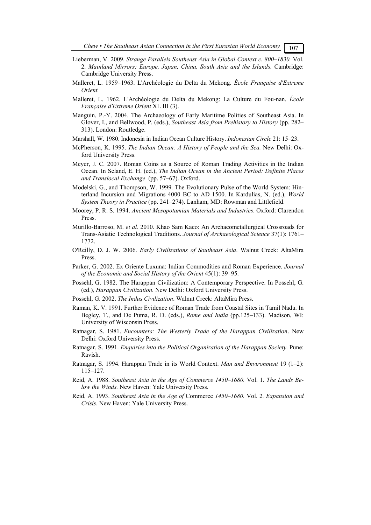- 
- Lieberman, V. 2009. *Strange Parallels Southeast Asia in Global Context c. 800–1830.* Vol. 2. *Mainland Mirrors: Europe, Japan, China, South Asia and the Islands.* Cambridge: Cambridge University Press.
- Malleret, L. 1959–1963. L'Archéologie du Delta du Mekong. *École Française d'Extreme Orient.*
- Malleret, L. 1962. L'Archéologie du Delta du Mekong: La Culture du Fou-nan. *École Française d'Extreme Orient* XL III (3).
- Manguin, P.-Y. 2004. The Archaeology of Early Maritime Polities of Southeast Asia. In Glover, I., and Bellwood, P. (eds.), *Southeast Asia from Prehistory to History* (pp. 282– 313). London: Routledge.
- Marshall, W. 1980. Indonesia in Indian Ocean Culture History. *Indonesian Circle* 21: 15–23.
- McPherson, K. 1995. *The Indian Ocean: A History of People and the Sea.* New Delhi: Oxford University Press.
- Meyer, J. C. 2007. Roman Coins as a Source of Roman Trading Activities in the Indian Ocean. In Seland, E. H. (ed.), *The Indian Ocean in the Ancient Period: Definite Places and Translocal Exchange* (pp. 57–67). Oxford.
- Modelski, G., and Thompson, W. 1999. The Evolutionary Pulse of the World System: Hinterland Incursion and Migrations 4000 BC to AD 1500. In Kardulias, N. (ed.), *World System Theory in Practice* (pp. 241–274). Lanham, MD: Rowman and Littlefield.
- Moorey, P. R. S. 1994. *Ancient Mesopotamian Materials and Industries*. Oxford: Clarendon Press.
- Murillo-Barroso, M. *et al.* 2010. Khao Sam Kaeo: An Archaeometallurgical Crossroads for Trans-Asiatic Technological Traditions. *Journal of Archaeological Science* 37(1): 1761– 1772.
- O'Reilly, D. J. W. 2006. *Early Civilizations of Southeast Asia*. Walnut Creek: AltaMira Press.
- Parker, G. 2002. Ex Oriente Luxuna: Indian Commodities and Roman Experience. *Journal of the Economic and Social History of the Orient* 45(1): 39–95.
- Possehl, G. 1982. The Harappan Civilization: A Contemporary Perspective. In Possehl, G. (ed.), *Harappan Civilization.* New Delhi: Oxford University Press.
- Possehl, G. 2002. *The Indus Civilization*. Walnut Creek: AltaMira Press.
- Raman, K. V. 1991. Further Evidence of Roman Trade from Coastal Sites in Tamil Nadu. In Begley, T., and De Puma, R. D. (eds.), *Rome and India* (pp.125–133). Madison, WI: University of Wisconsin Press.
- Ratnagar, S. 1981. *Encounters: The Westerly Trade of the Harappan Civilization*. New Delhi: Oxford University Press.
- Ratnagar, S. 1991. *Enquiries into the Political Organization of the Harappan Society*. Pune: Ravish.
- Ratnagar, S. 1994. Harappan Trade in its World Context. *Man and Environment* 19 (1–2): 115–127.
- Reid, A. 1988. *Southeast Asia in the Age of Commerce 1450–1680.* Vol. 1. *The Lands Below the Winds.* New Haven: Yale University Press.
- Reid, A. 1993. *Southeast Asia in the Age of* Commerce *1450–1680.* Vol. 2*. Expansion and Crisis.* New Haven: Yale University Press.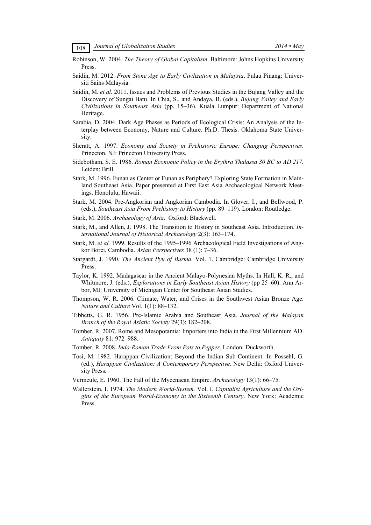- Robinson, W. 2004. *The Theory of Global Capitalism*. Baltimore: Johns Hopkins University Press.
- Saidin, M. 2012. *From Stone Age to Early Civilization in Malaysia*. Pulau Pinang: Universiti Sains Malaysia.
- Saidin, M. *et al.* 2011. Issues and Problems of Previous Studies in the Bujang Valley and the Discovery of Sungai Batu. In Chia, S., and Andaya, B. (eds.), *Bujang Valley and Early Civilizations in Southeast Asia* (pp. 15–36)*.* Kuala Lumpur: Department of National Heritage.
- Sarabia, D. 2004. Dark Age Phases as Periods of Ecological Crisis: An Analysis of the Interplay between Economy, Nature and Culture. Ph.D. Thesis. Oklahoma State University.
- Sheratt, A. 1997. *Economy and Society in Prehistoric Europe: Changing Perspectives*. Princeton, NJ: Princeton University Press.
- Sidebotham, S. E. 1986. *Roman Economic Policy in the Erythra Thalassa 30 BC to AD 217.* Leiden: Brill.
- Stark, M. 1996. Funan as Center or Funan as Periphery? Exploring State Formation in Mainland Southeast Asia. Paper presented at First East Asia Archaeological Network Meetings. Honolulu, Hawaii.
- Stark, M. 2004. Pre-Angkorian and Angkorian Cambodia. In Glover, I., and Bellwood, P. (eds.), *Southeast Asia From Prehistory to History* (pp. 89–119). London: Routledge.
- Stark, M. 2006. *Archaeology of Asia*. Oxford: Blackwell.
- Stark, M., and Allen, J. 1998. The Transition to History in Southeast Asia. Introduction. *International Journal of Historical Archaeology* 2(3): 163–174.
- Stark, M. *et al.* 1999. Results of the 1995–1996 Archaeological Field Investigations of Angkor Borei, Cambodia. *Asian Perspectives* 38 (1): 7–36.
- Stargardt, J. 1990. *The Ancient Pyu of Burma.* Vol. 1. Cambridge: Cambridge University **Press**.
- Taylor, K. 1992. Madagascar in the Ancient Malayo-Polynesian Myths. In Hall, K. R., and Whitmore, J. (eds.), *Explorations in Early Southeast Asian History* (pp 25–60). Ann Arbor, MI: University of Michigan Center for Southeast Asian Studies.
- Thompson, W. R. 2006. Climate, Water, and Crises in the Southwest Asian Bronze Age. *Nature and Culture* Vol. 1(1): 88–132.
- Tibbetts, G. R. 1956. Pre-Islamic Arabia and Southeast Asia. *Journal of the Malayan Branch of the Royal Asiatic Society* 29(3): 182–208.
- Tomber, R. 2007. Rome and Mesopotamia: Importers into India in the First Millennium AD. *Antiquity* 81: 972–988.
- Tomber, R. 2008. *Indo-Roman Trade From Pots to Pepper*. London: Duckworth.
- Tosi, M. 1982. Harappan Civilization: Beyond the Indian Sub-Continent. In Possehl, G. (ed.), *Harappan Civilization: A Contemporary Perspective*. New Delhi: Oxford University Press.
- Vermeule, E. 1960. The Fall of the Mycenaean Empire. *Archaeology* 13(1): 66–75.
- Wallerstein, I. 1974. *The Modern World-System.* Vol. I. *Capitalist Agriculture and the Origins of the European World-Economy in the Sixteenth Century*. New York: Academic Press.